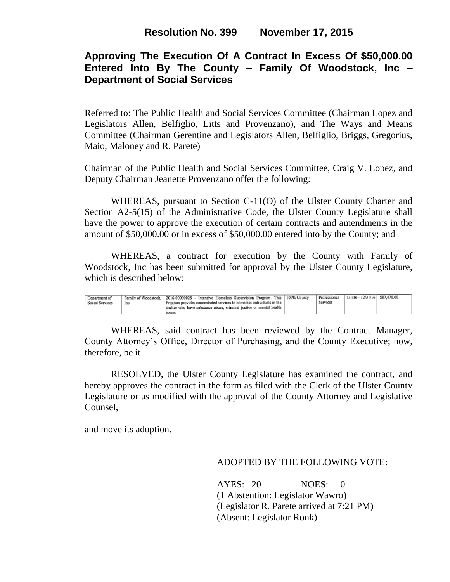# **Approving The Execution Of A Contract In Excess Of \$50,000.00 Entered Into By The County – Family Of Woodstock, Inc – Department of Social Services**

Referred to: The Public Health and Social Services Committee (Chairman Lopez and Legislators Allen, Belfiglio, Litts and Provenzano), and The Ways and Means Committee (Chairman Gerentine and Legislators Allen, Belfiglio, Briggs, Gregorius, Maio, Maloney and R. Parete)

Chairman of the Public Health and Social Services Committee, Craig V. Lopez, and Deputy Chairman Jeanette Provenzano offer the following:

WHEREAS, pursuant to Section C-11(O) of the Ulster County Charter and Section A2-5(15) of the Administrative Code, the Ulster County Legislature shall have the power to approve the execution of certain contracts and amendments in the amount of \$50,000.00 or in excess of \$50,000.00 entered into by the County; and

WHEREAS, a contract for execution by the County with Family of Woodstock, Inc has been submitted for approval by the Ulster County Legislature, which is described below:

| Department of<br>Social Services | Inc | Family of Woodstock, 2016-00000028 - Intensive Homeless Supervision Program. This 100% County<br>Program provides concentrated services to homeless individuals in the | Professional<br>Services | 1/1/16 - 12/31/16   \$87,470.00 |  |
|----------------------------------|-----|------------------------------------------------------------------------------------------------------------------------------------------------------------------------|--------------------------|---------------------------------|--|
|                                  |     | shelter who have substance abuse, criminal justice or mental health<br><b>ISSUES</b>                                                                                   |                          |                                 |  |

WHEREAS, said contract has been reviewed by the Contract Manager, County Attorney's Office, Director of Purchasing, and the County Executive; now, therefore, be it

RESOLVED, the Ulster County Legislature has examined the contract, and hereby approves the contract in the form as filed with the Clerk of the Ulster County Legislature or as modified with the approval of the County Attorney and Legislative Counsel,

and move its adoption.

### ADOPTED BY THE FOLLOWING VOTE:

AYES: 20 NOES: 0 (1 Abstention: Legislator Wawro) (Legislator R. Parete arrived at 7:21 PM**)** (Absent: Legislator Ronk)